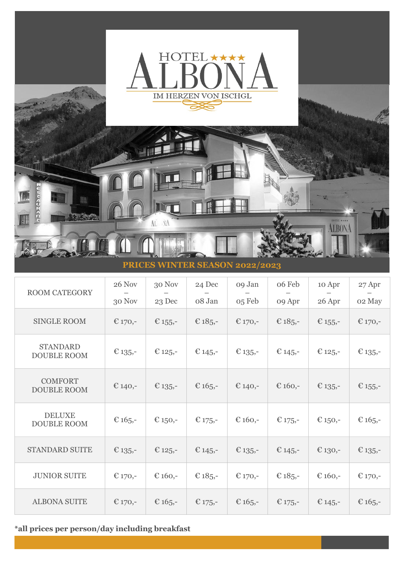

| <b>ROOM CATEGORY</b>                  | 26 Nov     | 30 Nov     | 24 Dec     | 09 Jan    | 06 Feb     | 10 Apr     | 27 Apr     |
|---------------------------------------|------------|------------|------------|-----------|------------|------------|------------|
|                                       | 30 Nov     | 23 Dec     | 08 Jan     | 05 Feb    | 09 Apr     | 26 Apr     | 02 May     |
| <b>SINGLE ROOM</b>                    | € 170,-    | € $155$ ,- | € $185 -$  | € 170,-   | € $185$    | € $155,$   | € 170,-    |
| <b>STANDARD</b><br><b>DOUBLE ROOM</b> | € $135,$   | € $125$ ,- | € $145,-$  | € $135 -$ | € $145$ ,- | € $125$ ,- | € $135 -$  |
| <b>COMFORT</b><br><b>DOUBLE ROOM</b>  | € 140,-    | € $135 -$  | € $165,$ - | € 140,-   | € $160,$ - | € $135 -$  | € $155$ ,- |
| <b>DELUXE</b><br><b>DOUBLE ROOM</b>   | € $165$ ,- | € $150,$ - | € $175$ ,- | € 160,-   | € $175$ ,- | € 150,-    | € $165,-$  |
| <b>STANDARD SUITE</b>                 | € $135,$   | € $125$ ,- | € $145$ ,- | € $135 -$ | € $145$ ,- | € 130,-    | € $135$ ,- |
| <b>JUNIOR SUITE</b>                   | € 170,-    | € $160,-$  | € $185 -$  | € 170,-   | € $185 -$  | € $160,-$  | € 170,-    |
| <b>ALBONA SUITE</b>                   | € 170,-    | € $165,$   | € 175,-    | € $165,-$ | € $175,$   | € $145 -$  | € $165,$   |

**\*all prices per person/day including breakfast**